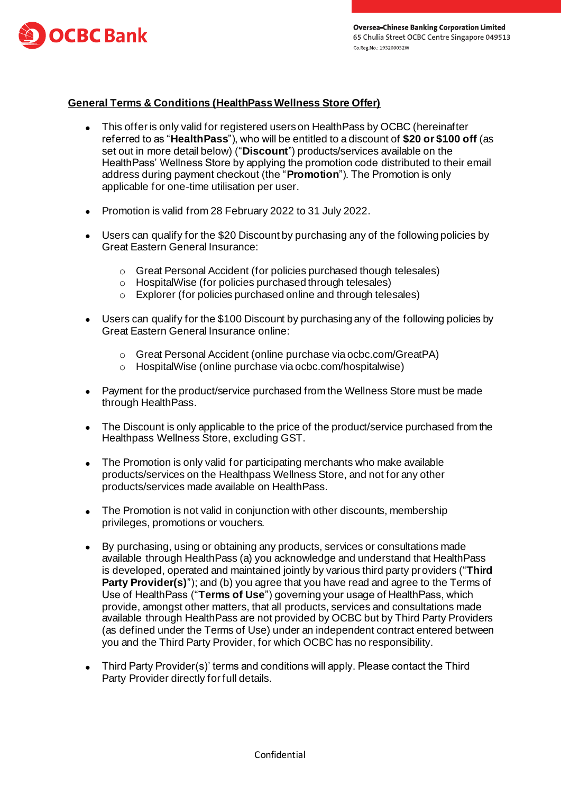

## **General Terms & Conditions (HealthPass Wellness Store Offer)**

- This offer is only valid for registered users on HealthPass by OCBC (hereinafter referred to as "**HealthPass**"), who will be entitled to a discount of **\$20 or \$100 off** (as set out in more detail below) ("**Discount**") products/services available on the HealthPass' Wellness Store by applying the promotion code distributed to their email address during payment checkout (the "**Promotion**"). The Promotion is only applicable for one-time utilisation per user.
- Promotion is valid from 28 February 2022 to 31 July 2022.
- Users can qualify for the \$20 Discount by purchasing any of the following policies by Great Eastern General Insurance:
	- o Great Personal Accident (for policies purchased though telesales)
	- o HospitalWise (for policies purchased through telesales)
	- o Explorer (for policies purchased online and through telesales)
- Users can qualify for the \$100 Discount by purchasing any of the following policies by Great Eastern General Insurance online:
	- o Great Personal Accident (online purchase via ocbc.com/GreatPA)
	- o HospitalWise (online purchase via ocbc.com/hospitalwise)
- Payment for the product/service purchased from the Wellness Store must be made through HealthPass.
- The Discount is only applicable to the price of the product/service purchased from the Healthpass Wellness Store, excluding GST.
- The Promotion is only valid for participating merchants who make available products/services on the Healthpass Wellness Store, and not for any other products/services made available on HealthPass.
- The Promotion is not valid in conjunction with other discounts, membership privileges, promotions or vouchers.
- By purchasing, using or obtaining any products, services or consultations made available through HealthPass (a) you acknowledge and understand that HealthPass is developed, operated and maintained jointly by various third party providers ("**Third Party Provider(s)**"); and (b) you agree that you have read and agree to the Terms of Use of HealthPass ("**Terms of Use**") governing your usage of HealthPass, which provide, amongst other matters, that all products, services and consultations made available through HealthPass are not provided by OCBC but by Third Party Providers (as defined under the Terms of Use) under an independent contract entered between you and the Third Party Provider, for which OCBC has no responsibility.
- Third Party Provider(s)' terms and conditions will apply. Please contact the Third Party Provider directly for full details.